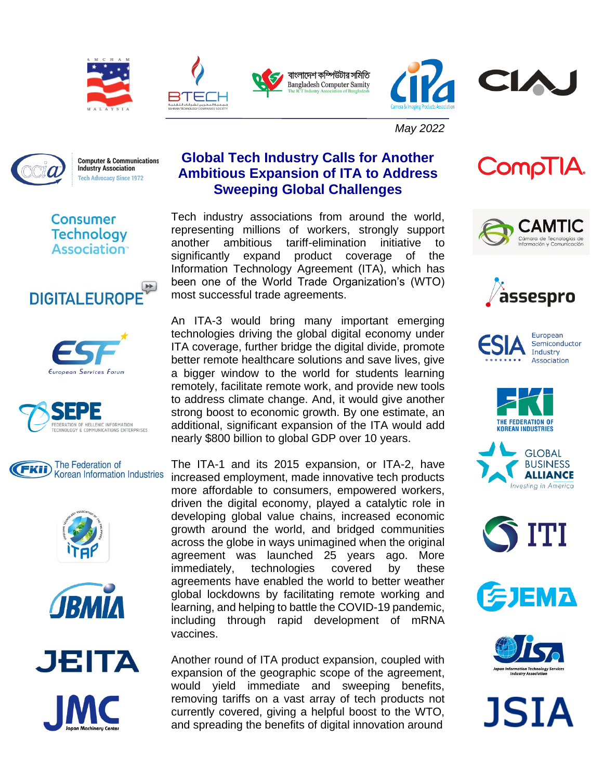









*May 2022*



**Computer & Communications Industry Association** Tech Advocacy Since 1972

## **Global Tech Industry Calls for Another Ambitious Expansion of ITA to Address Sweeping Global Challenges**

Tech industry associations from around the world, representing millions of workers, strongly support another ambitious tariff-elimination initiative to significantly expand product coverage of the Information Technology Agreement (ITA), which has been one of the World Trade Organization's (WTO) most successful trade agreements.

An ITA-3 would bring many important emerging technologies driving the global digital economy under ITA coverage, further bridge the digital divide, promote better remote healthcare solutions and save lives, give a bigger window to the world for students learning remotely, facilitate remote work, and provide new tools to address climate change. And, it would give another strong boost to economic growth. By one estimate, an additional, significant expansion of the ITA would add nearly \$800 billion to global GDP over 10 years.

The ITA-1 and its 2015 expansion, or ITA-2, have increased employment, made innovative tech products more affordable to consumers, empowered workers, driven the digital economy, played a catalytic role in developing global value chains, increased economic growth around the world, and bridged communities across the globe in ways unimagined when the original agreement was launched 25 years ago. More immediately, technologies covered by these agreements have enabled the world to better weather global lockdowns by facilitating remote working and learning, and helping to battle the COVID-19 pandemic, including through rapid development of mRNA vaccines.

Another round of ITA product expansion, coupled with expansion of the geographic scope of the agreement, would yield immediate and sweeping benefits, removing tariffs on a vast array of tech products not currently covered, giving a helpful boost to the WTO, and spreading the benefits of digital innovation around



CompTIA.



Cámara de Tecnolo















**JSIA** 



Consumer